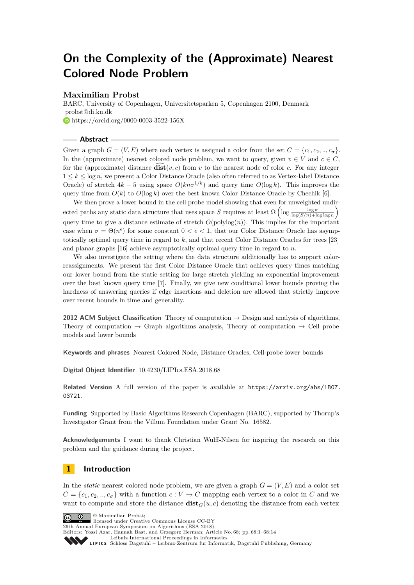# **On the Complexity of the (Approximate) Nearest Colored Node Problem**

## **Maximilian Probst**

BARC, University of Copenhagen, Universitetsparken 5, Copenhagen 2100, Denmark [probst@di.ku.dk](mailto: probst@di.ku.dk) <https://orcid.org/0000-0003-3522-156X>

**Abstract**

Given a graph  $G = (V, E)$  where each vertex is assigned a color from the set  $C = \{c_1, c_2, ..., c_{\sigma}\}.$ In the (approximate) nearest colored node problem, we want to query, given  $v \in V$  and  $c \in C$ , for the (approximate) distance  $\overrightarrow{\textbf{dist}}(v, c)$  from *v* to the nearest node of color *c*. For any integer  $1 \leq k \leq \log n$ , we present a Color Distance Oracle (also often referred to as Vertex-label Distance Oracle) of stretch  $4k - 5$  using space  $O(kn\sigma^{1/k})$  and query time  $O(\log k)$ . This improves the query time from  $O(k)$  to  $O(\log k)$  over the best known Color Distance Oracle by Chechik [\[6\]](#page-12-0).

We then prove a lower bound in the cell probe model showing that even for unweighted undirected paths any static data structure that uses space *S* requires at least  $\Omega\left(\log \frac{\log \sigma}{\log(S/n) + \log \log n}\right)$ query time to give a distance estimate of stretch  $O(polylog(n))$ . This implies for the important case when  $\sigma = \Theta(n^{\epsilon})$  for some constant  $0 < \epsilon < 1$ , that our Color Distance Oracle has asymptotically optimal query time in regard to *k*, and that recent Color Distance Oracles for trees [\[23\]](#page-13-0) and planar graphs [\[16\]](#page-13-1) achieve asymptotically optimal query time in regard to *n*.

We also investigate the setting where the data structure additionally has to support colorreassignments. We present the first Color Distance Oracle that achieves query times matching our lower bound from the static setting for large stretch yielding an exponential improvement over the best known query time [\[7\]](#page-12-1). Finally, we give new conditional lower bounds proving the hardness of answering queries if edge insertions and deletion are allowed that strictly improve over recent bounds in time and generality.

**2012 ACM Subject Classification** Theory of computation  $\rightarrow$  Design and analysis of algorithms, Theory of computation  $\rightarrow$  Graph algorithms analysis, Theory of computation  $\rightarrow$  Cell probe models and lower bounds

**Keywords and phrases** Nearest Colored Node, Distance Oracles, Cell-probe lower bounds

**Digital Object Identifier** [10.4230/LIPIcs.ESA.2018.68](http://dx.doi.org/10.4230/LIPIcs.ESA.2018.68)

**Related Version** A full version of the paper is available at [https://arxiv.org/abs/1807.](https://arxiv.org/abs/1807.03721) [03721](https://arxiv.org/abs/1807.03721).

**Funding** Supported by Basic Algorithms Research Copenhagen (BARC), supported by Thorup's Investigator Grant from the Villum Foundation under Grant No. 16582.

**Acknowledgements** I want to thank Christian Wulff-Nilsen for inspiring the research on this problem and the guidance during the project.

# **1 Introduction**

In the *static* nearest colored node problem, we are given a graph  $G = (V, E)$  and a color set  $C = \{c_1, c_2, ..., c_\sigma\}$  with a function  $c: V \to C$  mapping each vertex to a color in *C* and we want to compute and store the distance  $dist_G(u, c)$  denoting the distance from each vertex



licensed under Creative Commons License CC-BY 26th Annual European Symposium on Algorithms (ESA 2018).

Editors: Yossi Azar, Hannah Bast, and Grzegorz Herman; Article No. 68; pp. 68:1–68[:14](#page-13-2)

[Leibniz International Proceedings in Informatics](http://www.dagstuhl.de/lipics/)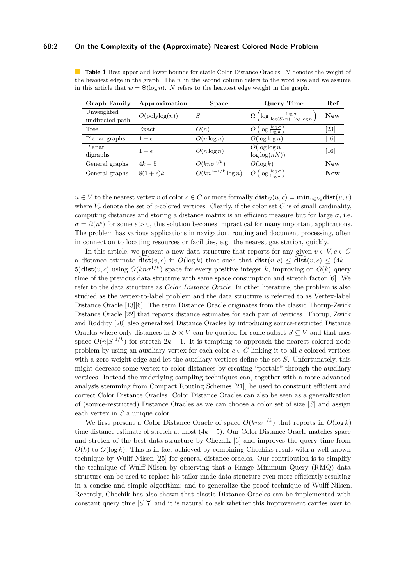#### **68:2 On the Complexity of the (Approximate) Nearest Colored Node Problem**

<span id="page-1-0"></span>**Table 1** Best upper and lower bounds for static Color Distance Oracles. *N* denotes the weight of the heaviest edge in the graph. The *w* in the second column refers to the word size and we assume in this article that  $w = \Theta(\log n)$ . *N* refers to the heaviest edge weight in the graph.

| Graph Family    | Approximation    | <b>Space</b>                     | Query Time                                                        | Ref                |
|-----------------|------------------|----------------------------------|-------------------------------------------------------------------|--------------------|
| Unweighted      | O(polylog(n))    |                                  |                                                                   | <b>New</b>         |
| undirected path |                  |                                  | $\Omega\left(\log\frac{\log \sigma}{\log(S/n)+\log\log n}\right)$ |                    |
| Tree            | Exact            | O(n)                             | $O\left(\log \frac{\log \sigma}{\log w}\right)$                   | $\left[ 23\right]$ |
| Planar graphs   | $1+\epsilon$     | $O(n \log n)$                    | $O(\log \log n)$                                                  | $[16]$             |
| Planar          | $1+\epsilon$     | $O(n \log n)$                    | $O(\log \log n)$                                                  | [16]               |
| digraphs        |                  |                                  | $\log \log (nN))$                                                 |                    |
| General graphs  | $4k-5$           | $O(kn\sigma^{1/k})$              | $O(\log k)$                                                       | <b>New</b>         |
| General graphs  | $8(1+\epsilon)k$ | $\overline{O(kn^{1+1/k}}\log n)$ | $O\left(\log \frac{\log \sigma}{\log w}\right)$                   | <b>New</b>         |

 $u \in V$  to the nearest vertex *v* of color  $c \in C$  or more formally  $\textbf{dist}_G(u, c) = \min_{v \in V_c} \textbf{dist}(u, v)$ where  $V_c$  denote the set of *c*-colored vertices. Clearly, if the color set *C* is of small cardinality, computing distances and storing a distance matrix is an efficient measure but for large  $\sigma$ , i.e.  $\sigma = \Omega(n^{\epsilon})$  for some  $\epsilon > 0$ , this solution becomes impractical for many important applications. The problem has various applications in navigation, routing and document processing, often in connection to locating resources or facilities, e.g. the nearest gas station, quickly.

In this article, we present a new data structure that reports for any given  $v \in V, c \in C$ a distance estimate  $\overline{\textbf{dist}}(v, c)$  in  $O(\log k)$  time such that  $\textbf{dist}(v, c) \leq \overline{\textbf{dist}}(v, c) \leq (4k -$ 5) $\text{dist}(v, c)$  using  $O(kn\sigma^{1/k})$  space for every positive integer k, improving on  $O(k)$  query time of the previous data structure with same space consumption and stretch factor [\[6\]](#page-12-0). We refer to the data structure as *Color Distance Oracle*. In other literature, the problem is also studied as the vertex-to-label problem and the data structure is referred to as Vertex-label Distance Oracle [\[13\]](#page-12-2)[\[6\]](#page-12-0). The term Distance Oracle originates from the classic Thorup-Zwick Distance Oracle [\[22\]](#page-13-3) that reports distance estimates for each pair of vertices. Thorup, Zwick and Roddity [\[20\]](#page-13-4) also generalized Distance Oracles by introducing source-restricted Distance Oracles where only distances in  $S \times V$  can be queried for some subset  $S \subseteq V$  and that uses space  $O(n|S|^{1/k})$  for stretch  $2k-1$ . It is tempting to approach the nearest colored node problem by using an auxiliary vertex for each color  $c \in C$  linking it to all *c*-colored vertices with a zero-weight edge and let the auxiliary vertices define the set *S*. Unfortunately, this might decrease some vertex-to-color distances by creating "portals" through the auxiliary vertices. Instead the underlying sampling techniques can, together with a more advanced analysis stemming from Compact Routing Schemes [\[21\]](#page-13-5), be used to construct efficient and correct Color Distance Oracles. Color Distance Oracles can also be seen as a generalization of (source-restricted) Distance Oracles as we can choose a color set of size |*S*| and assign each vertex in *S* a unique color.

We first present a Color Distance Oracle of space  $O(kn\sigma^{1/k})$  that reports in  $O(\log k)$ time distance estimate of stretch at most (4*k* − 5). Our Color Distance Oracle matches space and stretch of the best data structure by Chechik [\[6\]](#page-12-0) and improves the query time from  $O(k)$  to  $O(\log k)$ . This is in fact achieved by combining Chechiks result with a well-known technique by Wulff-Nilsen [\[25\]](#page-13-6) for general distance oracles. Our contribution is to simplify the technique of Wulff-Nilsen by observing that a Range Minimum Query (RMQ) data structure can be used to replace his tailor-made data structure even more efficiently resulting in a concise and simple algorithm; and to generalize the proof technique of Wulff-Nilsen. Recently, Chechik has also shown that classic Distance Oracles can be implemented with constant query time [\[8\]](#page-12-3)[\[7\]](#page-12-1) and it is natural to ask whether this improvement carries over to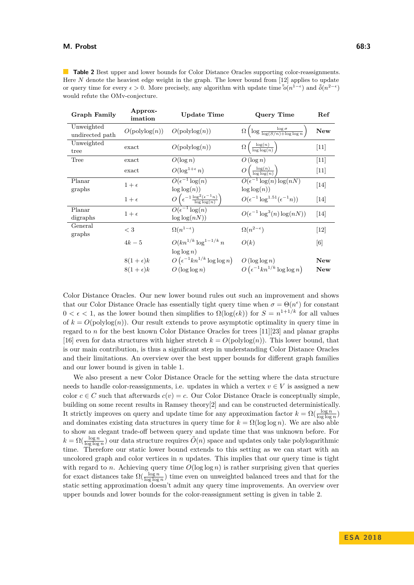<span id="page-2-0"></span>**Table 2** Best upper and lower bounds for Color Distance Oracles supporting color-reassignments. Here *N* denote the heaviest edge weight in the graph. The lower bound from [\[12\]](#page-12-4) applies to update or query time for every  $\epsilon > 0$ . More precisely, any algorithm with update time  $\tilde{\tilde{o}}(n^{1-\epsilon})$  and  $\tilde{\tilde{o}}(n^{2-\epsilon})$ would refute the OMv-conjecture.

| <b>Graph Family</b>           | Approx-<br>imation                   | Update Time                                                             | Query Time                                                          | Ref               |
|-------------------------------|--------------------------------------|-------------------------------------------------------------------------|---------------------------------------------------------------------|-------------------|
| Unweighted<br>undirected path | $O(\text{polylog}(n))$               | $O(\text{polylog}(n))$                                                  | $\Omega\left(\log\frac{\log \sigma}{\log(S/n)+\log\log n}\right)$   | <b>New</b>        |
| Unweighted<br>tree            | exact                                | $O(\text{polylog}(n))$                                                  | $\Omega\left(\frac{\log(n)}{\log\log(n)}\right)$                    | $[11]$            |
| Tree                          | exact                                | $O(\log n)$                                                             | $O(\log n)$                                                         | $[11]$            |
|                               | exact                                | $O(\log^{1+\epsilon} n)$                                                | $O\left(\frac{\log(n)}{\log\log(n)}\right)$                         | $[11]$            |
| Planar<br>graphs              | $1+\epsilon$                         | $\overline{O(\epsilon^{-1}\log(n)}$<br>$\log \log(n)$                   | $\overline{O(\epsilon^{-1}\log(n)\log(nN))}$<br>$\log \log(n)$      | $[14]$            |
|                               | $1+\epsilon$                         | $O\left(\epsilon^{-1}\frac{\log^2(\epsilon^{-1}n)}{\log\log(n)}\right)$ | $O(\epsilon^{-1} \log^{1.51} (\epsilon^{-1} n))$                    | $[14]$            |
| Planar<br>digraphs            | $1+\epsilon$                         | $\overline{O(\epsilon^{-1}\log(n)}$<br>$\log \log (nN))$                | $O(\epsilon^{-1} \log^3(n) \log(nN))$                               | $[14]$            |
| General<br>graphs             | $<$ 3                                | $\Omega(n^{1-\epsilon})$                                                | $\Omega(n^{2-\epsilon})$                                            | $[12]$            |
|                               | $4k-5$                               | $O(kn^{1/k} \log^{1-1/k} n)$<br>$\log \log n$                           | O(k)                                                                | [6]               |
|                               | $8(1+\epsilon)k$<br>$8(1+\epsilon)k$ | $O\left(\epsilon^{-1}kn^{1/k}\log\log n\right)$<br>$O(\log \log n)$     | $O(\log \log n)$<br>$O\left(\epsilon^{-1}kn^{1/k}\log\log n\right)$ | New<br><b>New</b> |
|                               |                                      |                                                                         |                                                                     |                   |

Color Distance Oracles. Our new lower bound rules out such an improvement and shows that our Color Distance Oracle has essentially tight query time when  $\sigma = \Theta(n^{\epsilon})$  for constant  $0 < \epsilon < 1$ , as the lower bound then simplifies to  $\Omega(\log(\epsilon k))$  for  $S = n^{1+1/k}$  for all values of  $k = O(\text{polylog}(n))$ . Our result extends to prove asymptotic optimality in query time in regard to *n* for the best known Color Distance Oracles for trees [\[11\]](#page-12-5)[\[23\]](#page-13-0) and planar graphs [\[16\]](#page-13-1) even for data structures with higher stretch  $k = O(\text{polylog}(n))$ . This lower bound, that is our main contribution, is thus a significant step in understanding Color Distance Oracles and their limitations. An overview over the best upper bounds for different graph families and our lower bound is given in table [1.](#page-1-0)

We also present a new Color Distance Oracle for the setting where the data structure needs to handle color-reassignments, i.e. updates in which a vertex  $v \in V$  is assigned a new color  $c \in C$  such that afterwards  $c(v) = c$ . Our Color Distance Oracle is conceptually simple, building on some recent results in Ramsey theory[\[2\]](#page-12-7) and can be constructed deterministically. It strictly improves on query and update time for any approximation factor  $k = \Omega(\frac{\log n}{\log \log n})$ and dominates existing data structures in query time for  $k = \Omega(\log \log n)$ . We are also able to show an elegant trade-off between query and update time that was unknown before. For  $k = \Omega(\frac{\log n}{\log \log n})$  our data structure requires  $\tilde{O}(n)$  space and updates only take polylogarithmic time. Therefore our static lower bound extends to this setting as we can start with an uncolored graph and color vertices in *n* updates. This implies that our query time is tight with regard to *n*. Achieving query time  $O(\log \log n)$  is rather surprising given that queries for exact distances take  $\Omega(\frac{\log n}{\log \log n})$  time even on unweighted balanced trees and that for the static setting approximation doesn't admit any query time improvements. An overview over upper bounds and lower bounds for the color-reassignment setting is given in table [2.](#page-2-0)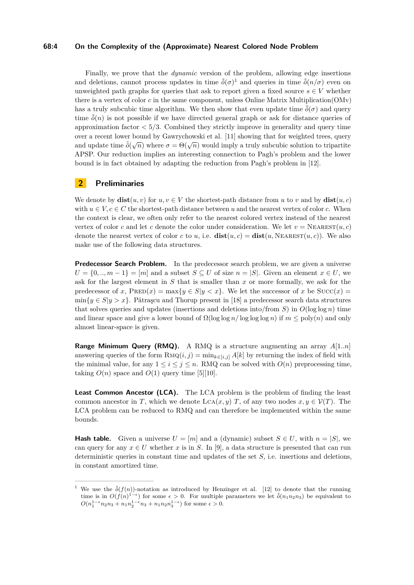#### **68:4 On the Complexity of the (Approximate) Nearest Colored Node Problem**

Finally, we prove that the *dynamic* version of the problem, allowing edge insertions and deletions, cannot process updates in time  $\tilde{\delta}(\sigma)^1$  $\tilde{\delta}(\sigma)^1$  and queries in time  $\tilde{\delta}(n/\sigma)$  even on unweighted path graphs for queries that ask to report given a fixed source  $s \in V$  whether there is a vertex of color *c* in the same component, unless Online Matrix Multiplication(OMv) has a truly subcubic time algorithm. We then show that even update time  $\tilde{\delta}(\sigma)$  and query time  $\tilde{\delta}(n)$  is not possible if we have directed general graph or ask for distance queries of approximation factor  $\lt 5/3$ . Combined they strictly improve in generality and query time over a recent lower bound by Gawrychowski et al. [\[11\]](#page-12-5) showing that for weighted trees, query and update time  $\tilde{\delta}(\sqrt{n})$  where  $\sigma = \Theta(\sqrt{n})$  would imply a truly subcubic solution to tripartite APSP. Our reduction implies an interesting connection to Pagh's problem and the lower bound is in fact obtained by adapting the reduction from Pagh's problem in [\[12\]](#page-12-4).

## **2 Preliminaries**

We denote by  $\textbf{dist}(u, v)$  for  $u, v \in V$  the shortest-path distance from *u* to *v* and by  $\textbf{dist}(u, c)$ with  $u \in V, c \in C$  the shortest-path distance between *u* and the nearest vertex of color *c*. When the context is clear, we often only refer to the nearest colored vertex instead of the nearest vertex of color *c* and let *c* denote the color under consideration. We let  $v = \text{Nearest}(u, c)$ denote the nearest vertex of color *c* to *u*, i.e.  $dist(u, c) = dist(u, NEAREST(u, c))$ . We also make use of the following data structures.

**Predecessor Search Problem.** In the predecessor search problem, we are given a universe  $U = \{0, ..., m-1\} = [m]$  and a subset  $S \subseteq U$  of size  $n = |S|$ . Given an element  $x \in U$ , we ask for the largest element in *S* that is smaller than *x* or more formally, we ask for the predecessor of *x*,  $PRED(x) = \max\{y \in S | y < x\}$ . We let the successor of *x* be Succ $(x) =$  $\min\{y \in S | y > x\}.$  Pǎtrascu and Thorup present in [\[18\]](#page-13-7) a predecessor search data structures that solves queries and updates (insertions and deletions into/from *S*) in  $O(\log \log n)$  time and linear space and give a lower bound of  $\Omega(\log \log n / \log \log \log n)$  if  $m \leq \text{poly}(n)$  and only almost linear-space is given.

**Range Minimum Query (RMQ).** A RMQ is a structure augmenting an array *A*[1*..n*] answering queries of the form  $\text{RMQ}(i, j) = \min_{k \in [i, j]} A[k]$  by returning the index of field with the minimal value, for any  $1 \leq i \leq j \leq n$ . RMQ can be solved with  $O(n)$  preprocessing time, taking  $O(n)$  space and  $O(1)$  query time [\[5\]](#page-12-8)[\[10\]](#page-12-9).

Least Common Ancestor (LCA). The LCA problem is the problem of finding the least common ancestor in *T*, which we denote  $\text{LCA}(x, y)$  *T*, of any two nodes  $x, y \in \mathcal{V}(T)$ . The LCA problem can be reduced to RMQ and can therefore be implemented within the same bounds.

**Hash table.** Given a universe  $U = [m]$  and a (dynamic) subset  $S \in U$ , with  $n = |S|$ , we can query for any  $x \in U$  whether x is in S. In [\[9\]](#page-12-10), a data structure is presented that can run deterministic queries in constant time and updates of the set *S*, i.e. insertions and deletions, in constant amortized time.

<span id="page-3-0"></span><sup>&</sup>lt;sup>1</sup> We use the  $\tilde{\delta}(f(n))$ -notation as introduced by Henzinger et al. [\[12\]](#page-12-4) to denote that the running time is in  $O(f(n)^{1-\epsilon})$  for some  $\epsilon > 0$ . For multiple parameters we let  $\tilde{\delta}(n_1n_2n_3)$  be equivalent to  $O(n_1^{1-\epsilon}n_2n_3 + n_1n_2^{1-\epsilon}n_3 + n_1n_2n_3^{1-\epsilon})$  for some  $\epsilon > 0$ .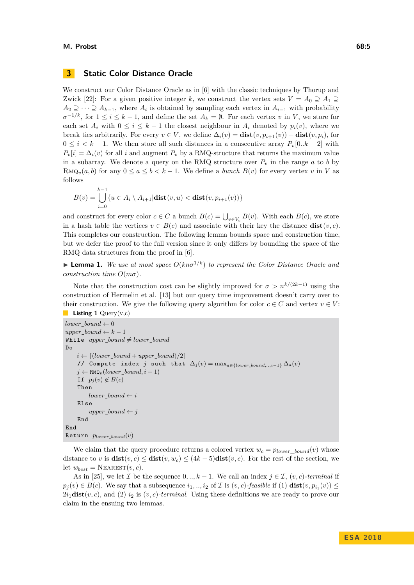#### **M. Probst 68:5**

## **3 Static Color Distance Oracle**

We construct our Color Distance Oracle as in [\[6\]](#page-12-0) with the classic techniques by Thorup and Zwick [\[22\]](#page-13-3): For a given positive integer k, we construct the vertex sets  $V = A_0 \supseteq A_1 \supseteq$  $A_2 \supseteq \cdots \supseteq A_{k-1}$ , where  $A_i$  is obtained by sampling each vertex in  $A_{i-1}$  with probability  $\sigma^{-1/k}$ , for  $1 \leq i \leq k-1$ , and define the set  $A_k = \emptyset$ . For each vertex *v* in *V*, we store for each set  $A_i$  with  $0 \le i \le k-1$  the closest neighbour in  $A_i$  denoted by  $p_i(v)$ , where we break ties arbitrarily. For every  $v \in V$ , we define  $\Delta_i(v) = \textbf{dist}(v, p_{i+1}(v)) - \textbf{dist}(v, p_i)$ , for  $0 \leq i \leq k-1$ . We then store all such distances in a consecutive array  $P_v[0..k-2]$  with  $P_v[i] = \Delta_i(v)$  for all *i* and augment  $P_v$  by a RMQ-structure that returns the maximum value in a subarray. We denote a query on the RMQ structure over  $P_v$  in the range  $a$  to  $b$  by RMQ<sub>*v*</sub>(*a, b*) for any  $0 \le a \le b < k - 1$ . We define a *bunch*  $B(v)$  for every vertex *v* in *V* as follows

$$
B(v) = \bigcup_{i=0}^{k-1} \{ u \in A_i \setminus A_{i+1} | \textbf{dist}(v, u) < \textbf{dist}(v, p_{i+1}(v)) \}
$$

and construct for every color  $c \in C$  a bunch  $B(c) = \bigcup_{v \in V_c} B(v)$ . With each  $B(c)$ , we store in a hash table the vertices  $v \in B(c)$  and associate with their key the distance  $dist(v, c)$ . This completes our construction. The following lemma bounds space and construction time, but we defer the proof to the full version since it only differs by bounding the space of the RMQ data structures from the proof in [\[6\]](#page-12-0).

**Lemma 1.** We use at most space  $O(kn\sigma^{1/k})$  to represent the Color Distance Oracle and *construction time O*(*mσ*)*.*

Note that the construction cost can be slightly improved for  $\sigma > n^{k/(2k-1)}$  using the construction of Hermelin et al. [\[13\]](#page-12-2) but our query time improvement doesn't carry over to their construction. We give the following query algorithm for color  $c \in C$  and vertex  $v \in V$ : **Listing 1** Query(v,c)

```
lower\_bound \leftarrow 0upper\_bound \leftarrow k - 1While upper\_bound \neq lower\_boundDo
     i \leftarrow \left\lceil \frac{(lower\_bound + upper\_bound)}{2} \right\rceil// Compute index j such that ∆j (v) = maxa∈{lower_bound,..,i−1} ∆a(v)
    j \leftarrow \text{RMQ}_v(lower\_bound, i-1)If p_i(v) \notin B(c)Then
          lower\_bound \leftarrow iElse
          upper\_bound \leftarrow jEnd
End
Return plower_bound(v)
```
We claim that the query procedure returns a colored vertex  $w_c = p_{lower \; bound}(v)$  whose distance to *v* is  $dist(v, c) \leq dist(v, w_c) \leq (4k - 5)dist(v, c)$ . For the rest of the section, we let  $w_{best} = \text{NEAREST}(v, c)$ .

As in [\[25\]](#page-13-6), we let *I* be the sequence  $0, \ldots, k-1$ . We call an index  $j \in I$ ,  $(v, c)$ *-terminal* if  $p_j(v) \in B(c)$ . We say that a subsequence  $i_1, ..., i_2$  of I is  $(v, c)$ *-feasible* if (1)  $dist(v, p_{i_1}(v)) \le$  $2i_1$ **dist** $(v, c)$ , and  $(2)$   $i_2$  is  $(v, c)$ *-terminal*. Using these definitions we are ready to prove our claim in the ensuing two lemmas.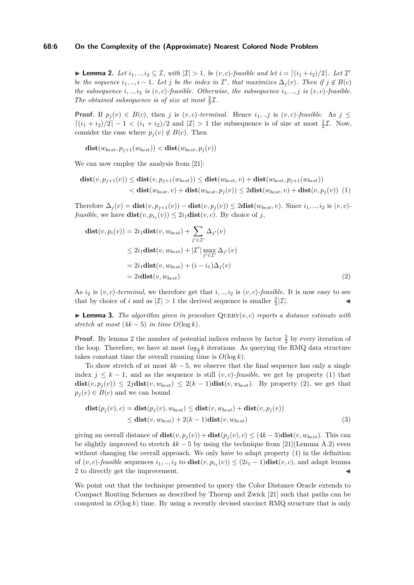#### **68:6 On the Complexity of the (Approximate) Nearest Colored Node Problem**

<span id="page-5-0"></span>▶ **Lemma 2.** *Let*  $i_1, ..., i_2 \subseteq \mathcal{I}$ , with  $|\mathcal{I}| > 1$ , be  $(v, c)$ -feasible and let  $i = \lceil (i_1 + i_2)/2 \rceil$ . Let  $\mathcal{I}'$ *be the sequence*  $i_1, ..., i - 1$ *. Let j be the index in*  $\mathcal{I}'$ *, that maximizes*  $\Delta_j(v)$ *. Then if*  $j \notin B(c)$ *the subsequence*  $i, \ldots, i_2$  *is* (*v, c*)*-feasible. Otherwise, the subsequence*  $i_1, \ldots, i_j$  *is* (*v, c*)*-feasible.* The obtained subsequence is of size at most  $\frac{2}{3}\mathcal{I}$ .

**Proof.** If  $p_j(v) \in B(c)$ , then *j* is  $(v, c)$ *-terminal.* Hence  $i_1, \ldots j$  is  $(v, c)$ *-feasible.* As  $j \leq$  $\lceil (i_1 + i_2)/2 \rceil - 1 < (i_1 + i_2)/2$  and  $|\mathcal{I}| > 1$  the subsequence is of size at most  $\frac{1}{2}\mathcal{I}$ . Now, consider the case where  $p_j(v) \notin B(c)$ . Then

$$
dist(w_{best}, p_{j+1}(w_{best})) < dist(w_{best}, p_j(v))
$$

We can now employ the analysis from [\[21\]](#page-13-5):

$$
\mathbf{dist}(v, p_{j+1}(v)) \leq \mathbf{dist}(v, p_{j+1}(w_{best})) \leq \mathbf{dist}(w_{best}, v) + \mathbf{dist}(w_{best}, p_{j+1}(w_{best}))
$$
  

$$
< \mathbf{dist}(w_{best}, v) + \mathbf{dist}(w_{best}, p_j(v)) \leq 2\mathbf{dist}(w_{best}, v) + \mathbf{dist}(v, p_j(v))
$$
 (1)

Therefore  $\Delta_i(v) = \textbf{dist}(v, p_{i+1}(v)) - \textbf{dist}(v, p_i(v)) \leq 2\textbf{dist}(w_{best}, v)$ . Since  $i_1, ..., i_2$  is  $(v, c)$ *feasible*, we have  $dist(v, p_{i_1}(v)) \leq 2i_1 dist(v, c)$ . By choice of *j*,

$$
\mathbf{dist}(v, p_i(v)) = 2i_1 \mathbf{dist}(v, w_{best}) + \sum_{j' \in \mathcal{I}'} \Delta_{j'}(v)
$$
  
\n
$$
\leq 2i_1 \mathbf{dist}(v, w_{best}) + |\mathcal{I}'| \max_{j' \in \mathcal{I}'} \Delta_{j'}(v)
$$
  
\n
$$
= 2i_1 \mathbf{dist}(v, w_{best}) + (i - i_1) \Delta_j(v)
$$
  
\n
$$
= 2i \mathbf{dist}(v, w_{best})
$$
 (2)

As  $i_2$  is  $(v, c)$ -terminal, we therefore get that  $i, \ldots, i_2$  is  $(v, c)$ -feasible. It is now easy to see that by choice of *i* and as  $|\mathcal{I}| > 1$  the derived sequence is smaller  $\frac{2}{3}|\mathcal{I}|$ .

 $\blacktriangleright$  **Lemma 3.** The algorithm given in procedure QUERY $(v, c)$  reports a distance estimate with *stretch at most*  $(4k - 5)$  *in time*  $O(\log k)$ *.* 

**Proof.** By lemma [2](#page-5-0) the number of potential indices reduces by factor  $\frac{2}{3}$  by every iteration of the loop. Therefore, we have at most  $log_{\frac{3}{2}}k$  iterations. As querying the RMQ data structure takes constant time the overall running time is  $O(\log k)$ .

To show stretch of at most 4*k* − 5, we observe that the final sequence has only a single index  $j \leq k-1$ , and as the sequence is still  $(v, c)$ *-feasible*, we get by property (1) that  $dist(v, p_i(v)) \leq 2jdist(v, w_{best}) \leq 2(k-1)dist(v, w_{best})$ . By property (2), we get that  $p_i(v) \in B(c)$  and we can bound

$$
\begin{aligned} \mathbf{dist}(p_j(v), c) &= \mathbf{dist}(p_j(v), w_{best}) \le \mathbf{dist}(v, w_{best}) + \mathbf{dist}(v, p_j(v)) \\ &\le \mathbf{dist}(v, w_{best}) + 2(k-1)\mathbf{dist}(v, w_{best}) \end{aligned} \tag{3}
$$

giving an overall distance of  $dist(v, p_j(v)) + dist(p_j(v), c) \leq (4k-3)dist(v, w_{best})$ . This can be slightly improved to stretch  $4k - 5$  by using the technique from [\[21\]](#page-13-5)(Lemma A.2) even without changing the overall approach. We only have to adapt property (1) in the definition of  $(v, c)$ -*feasible* sequences  $i_1, ..., i_2$  to  $dist(v, p_{i_1}(v)) \leq (2i_1 - 1)dist(v, c)$ , and adapt lemma [2](#page-5-0) to directly get the improvement.

We point out that the technique presented to query the Color Distance Oracle extends to Compact Routing Schemes as described by Thorup and Zwick [\[21\]](#page-13-5) such that paths can be computed in  $O(\log k)$  time. By using a recently devised succinct RMQ structure that is only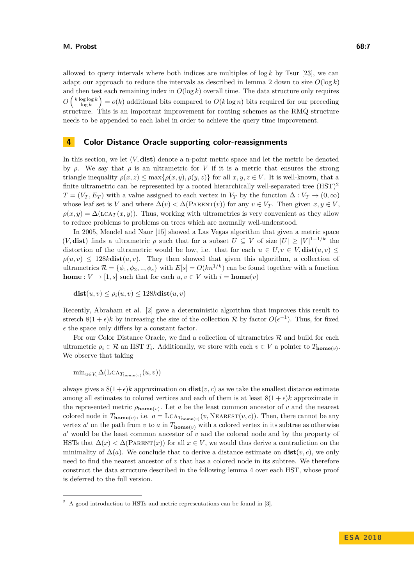allowed to query intervals where both indices are multiples of  $\log k$  by Tsur [\[23\]](#page-13-0), we can adapt our approach to reduce the intervals as described in lemma [2](#page-5-0) down to size  $O(\log k)$ and then test each remaining index in  $O(\log k)$  overall time. The data structure only requires *O*  $\left(\frac{k \log \log k}{\log k}\right) = o(k)$  additional bits compared to  $O(k \log n)$  bits required for our preceding structure. This is an important improvement for routing schemes as the RMQ structure needs to be appended to each label in order to achieve the query time improvement.

## **4 Color Distance Oracle supporting color-reassignments**

In this section, we let (*V,* **dist**) denote a n-point metric space and let the metric be denoted by  $\rho$ . We say that  $\rho$  is an ultrametric for *V* if it is a metric that ensures the strong triangle inequality  $\rho(x, z) \leq \max\{\rho(x, y), \rho(y, z)\}\$ for all  $x, y, z \in V$ . It is well-known, that a finite ultrametric can be represented by a rooted hierarchically well-separated tree  $(HST)^2$  $(HST)^2$  $T = (V_T, E_T)$  with a value assigned to each vertex in  $V_T$  by the function  $\Delta : V_T \to (0, \infty)$ whose leaf set is *V* and where  $\Delta(v) < \Delta(PARENT(v))$  for any  $v \in V_T$ . Then given  $x, y \in V$ ,  $\rho(x, y) = \Delta(\text{LCA}_{T}(x, y))$ . Thus, working with ultrametrics is very convenient as they allow to reduce problems to problems on trees which are normally well-understood.

In 2005, Mendel and Naor [\[15\]](#page-13-8) showed a Las Vegas algorithm that given a metric space  $(V, dist)$  finds a ultrametric  $\rho$  such that for a subset  $U \subseteq V$  of size  $|U| \geq |V|^{1-1/k}$  the distortion of the ultrametric would be low, i.e. that for each  $u \in U, v \in V$ ,  $dist(u, v) \le$  $\rho(u, v) \leq 128k$ **dist** $(u, v)$ . They then showed that given this algorithm, a collection of ultrametrics  $\mathcal{R} = \{\phi_1, \phi_2, ..., \phi_s\}$  with  $E[s] = O(kn^{1/k})$  can be found together with a function **home** :  $V \to [1, s]$  such that for each  $u, v \in V$  with  $i = \textbf{home}(v)$ 

 $\textbf{dist}(u, v) \leq \rho_i(u, v) \leq 128k\textbf{dist}(u, v)$ 

Recently, Abraham et al. [\[2\]](#page-12-7) gave a deterministic algorithm that improves this result to stretch  $8(1+\epsilon)k$  by increasing the size of the collection  $\mathcal R$  by factor  $O(\epsilon^{-1})$ . Thus, for fixed  $\epsilon$  the space only differs by a constant factor.

For our Color Distance Oracle, we find a collection of ultrametrics  $R$  and build for each ultrametric  $\rho_i \in \mathcal{R}$  an HST  $T_i$ . Additionally, we store with each  $v \in V$  a pointer to  $T_{\text{home}(v)}$ . We observe that taking

 $\min_{u \in V_c} \Delta(\text{LCA}_{T_{\text{home}(v)}}(u, v))$ 

always gives a  $8(1+\epsilon)k$  approximation on  $dist(v, c)$  as we take the smallest distance estimate among all estimates to colored vertices and each of them is at least  $8(1 + \epsilon)k$  approximate in the represented metric  $\rho_{\text{home}(v)}$ . Let *a* be the least common ancestor of *v* and the nearest colored node in  $T_{\text{home}(v)}$ , i.e.  $a = \text{LCA}_{T_{\text{home}(v)}}(v, \text{NEAREST}(v, c))$ . Then, there cannot be any vertex *a'* on the path from *v* to *a* in  $T_{\text{home}(v)}$  with a colored vertex in its subtree as otherwise a' would be the least common ancestor of *v* and the colored node and by the property of HSTs that  $\Delta(x) < \Delta(PARENT(x))$  for all  $x \in V$ , we would thus derive a contradiction on the minimality of  $\Delta(a)$ . We conclude that to derive a distance estimate on  $dist(v, c)$ , we only need to find the nearest ancestor of *v* that has a colored node in its subtree. We therefore construct the data structure described in the following lemma [4](#page-7-0) over each HST, whose proof is deferred to the full version.

<span id="page-6-0"></span><sup>2</sup> A good introduction to HSTs and metric representations can be found in [\[3\]](#page-12-11).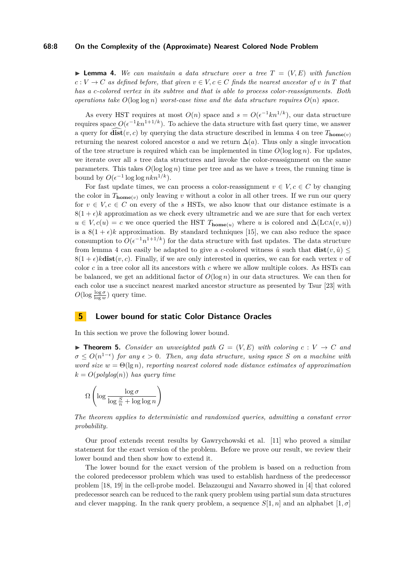#### **68:8 On the Complexity of the (Approximate) Nearest Colored Node Problem**

<span id="page-7-0"></span> $\blacktriangleright$  **Lemma 4.** We can maintain a data structure over a tree  $T = (V, E)$  with function  $c: V \to C$  *as defined before, that given*  $v \in V, c \in C$  *finds the nearest ancestor of v in T that has a c-colored vertex in its subtree and that is able to process color-reassignments. Both operations take*  $O(\log \log n)$  *worst-case time and the data structure requires*  $O(n)$  *space.* 

As every HST requires at most  $O(n)$  space and  $s = O(\epsilon^{-1}kn^{1/k})$ , our data structure requires space  $O(\epsilon^{-1}kn^{1+1/k})$ . To achieve the data structure with fast query time, we answer a query for  $\widehat{\textbf{dist}}(v, c)$  by querying the data structure described in lemma [4](#page-7-0) on tree  $T_{\textbf{home}(v)}$ returning the nearest colored ancestor *a* and we return  $\Delta(a)$ . Thus only a single invocation of the tree structure is required which can be implemented in time  $O(\log \log n)$ . For updates, we iterate over all *s* tree data structures and invoke the color-reassignment on the same parameters. This takes  $O(\log \log n)$  time per tree and as we have *s* trees, the running time is bound by  $O(\epsilon^{-1} \log \log n k n^{1/k}).$ 

For fast update times, we can process a color-reassignment  $v \in V, c \in C$  by changing the color in  $T_{\text{home}(v)}$  only leaving *v* without a color in all other trees. If we run our query for  $v \in V, c \in C$  on every of the *s* HSTs, we also know that our distance estimate is a  $8(1 + \epsilon)k$  approximation as we check every ultrametric and we are sure that for each vertex  $u \in V, c(u) = c$  we once queried the HST  $T_{\text{home}(u)}$  where *u* is colored and  $\Delta(\text{LCA}(v, u))$ is a  $8(1 + \epsilon)k$  approximation. By standard techniques [\[15\]](#page-13-8), we can also reduce the space consumption to  $O(\epsilon^{-1}n^{1+1/k})$  for the data structure with fast updates. The data structure from lemma [4](#page-7-0) can easily be adapted to give a *c*-colored witness  $\hat{u}$  such that  $dist(v, \hat{u}) \leq$  $8(1 + \epsilon)$ **kdist** $(v, c)$ . Finally, if we are only interested in queries, we can for each vertex *v* of color *c* in a tree color all its ancestors with *c* where we allow multiple colors. As HSTs can be balanced, we get an additional factor of  $O(\log n)$  in our data structures. We can then for each color use a succinct nearest marked ancestor structure as presented by Tsur [\[23\]](#page-13-0) with  $O(\log \frac{\log \sigma}{\log w})$  query time.

# **5 Lower bound for static Color Distance Oracles**

In this section we prove the following lower bound.

<span id="page-7-1"></span>**Findment 5.** Consider an unweighted path  $G = (V, E)$  with coloring  $c : V \rightarrow C$  and  $\sigma \leq O(n^{1-\epsilon})$  *for any*  $\epsilon > 0$ . Then, any data structure, using space *S on a machine with word size*  $w = \Theta(\lg n)$ *, reporting nearest colored node distance estimates of approximation*  $k = O(\text{polylog}(n))$  *has query time* 

$$
\Omega\left(\log\frac{\log \sigma}{\log\frac{S}{n} + \log\log n}\right)
$$

*The theorem applies to deterministic and randomized queries, admitting a constant error probability.*

Our proof extends recent results by Gawrychowski et al. [\[11\]](#page-12-5) who proved a similar statement for the exact version of the problem. Before we prove our result, we review their lower bound and then show how to extend it.

The lower bound for the exact version of the problem is based on a reduction from the colored predecessor problem which was used to establish hardness of the predecessor problem [\[18,](#page-13-7) [19\]](#page-13-9) in the cell-probe model. Belazzougui and Navarro showed in [\[4\]](#page-12-12) that colored predecessor search can be reduced to the rank query problem using partial sum data structures and clever mapping. In the rank query problem, a sequence  $S[1, n]$  and an alphabet  $[1, \sigma]$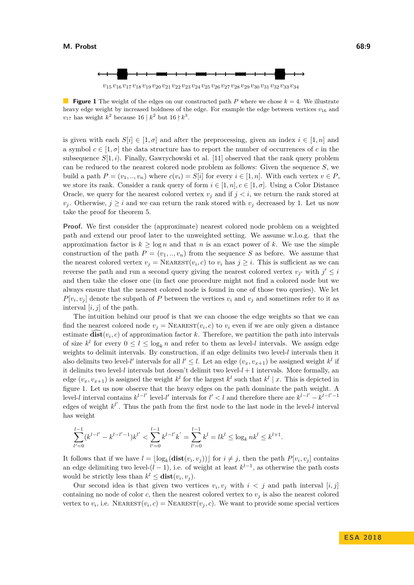

<span id="page-8-0"></span>**Figure 1** The weight of the edges on our constructed path *P* where we chose  $k = 4$ . We illustrate heavy edge weight by increased boldness of the edge. For example the edge between vertices  $v_{16}$  and  $v_{17}$  has weight  $k^2$  because 16 |  $k^2$  but 16 |  $k^3$ .

is given with each  $S[i] \in [1, \sigma]$  and after the preprocessing, given an index  $i \in [1, n]$  and a symbol  $c \in [1, \sigma]$  the data structure has to report the number of occurrences of c in the subsequence  $S[1, i)$ . Finally, Gawrychowski et al. [\[11\]](#page-12-5) observed that the rank query problem can be reduced to the nearest colored node problem as follows: Given the sequence *S*, we build a path  $P = (v_1, ..., v_n)$  where  $c(v_i) = S[i]$  for every  $i \in [1, n]$ . With each vertex  $v \in P$ , we store its rank. Consider a rank query of form  $i \in [1, n], c \in [1, \sigma]$ . Using a Color Distance Oracle, we query for the nearest colored vertex  $v_j$  and if  $j < i$ , we return the rank stored at *v*<sub>*j*</sub>. Otherwise,  $j \geq i$  and we can return the rank stored with  $v_j$  decreased by 1. Let us now take the proof for theorem [5.](#page-7-1)

**Proof.** We first consider the (approximate) nearest colored node problem on a weighted path and extend our proof later to the unweighted setting. We assume w.l.o.g. that the approximation factor is  $k \geq \log n$  and that *n* is an exact power of *k*. We use the simple construction of the path  $P = (v_1, ..., v_n)$  from the sequence *S* as before. We assume that the nearest colored vertex  $v_j = \text{Nearest}(v_i, c)$  to  $v_i$  has  $j \geq i$ . This is sufficient as we can reverse the path and run a second query giving the nearest colored vertex  $v_{j'}$  with  $j' \leq i$ and then take the closer one (in fact one procedure might not find a colored node but we always ensure that the nearest colored node is found in one of those two queries). We let  $P[v_i, v_j]$  denote the subpath of *P* between the vertices  $v_i$  and  $v_j$  and sometimes refer to it as interval  $[i, j]$  of the path.

The intuition behind our proof is that we can choose the edge weights so that we can find the nearest colored node  $v_j = \text{Nearest}(v_i, c)$  to  $v_i$  even if we are only given a distance estimate  $dist(v_i, c)$  of approximation factor  $k$ . Therefore, we partition the path into intervals of size  $k^l$  for every  $0 \leq l \leq \log_k n$  and refer to them as level-*l* intervals. We assign edge weights to delimit intervals. By construction, if an edge delimits two level-*l* intervals then it also delimits two level-*l'* intervals for all  $l' \leq l$ . Let an edge  $(v_x, v_{x+1})$  be assigned weight  $k^l$  if it delimits two level-*l* intervals but doesn't delimit two level-*l* + 1 intervals. More formally, an edge  $(v_x, v_{x+1})$  is assigned the weight  $k^l$  for the largest  $k^l$  such that  $k^l | x$ . This is depicted in figure [1.](#page-8-0) Let us now observe that the heavy edges on the path dominate the path weight. A level-*l* interval contains  $k^{l-l'}$  level-*l'* intervals for  $l' < l$  and therefore there are  $k^{l-l'} - k^{l-l'-1}$ edges of weight  $k^{l'}$ . Thus the path from the first node to the last node in the level-*l* interval has weight

$$
\sum_{l'=0}^{l-1} (k^{l-l'} - k^{l-l'-1})k^{l'} < \sum_{l'=0}^{l-1} k^{l-l'}k^{'} = \sum_{l'=0}^{l-1} k^l = lk^l \le \log_k nk^l \le k^{l+1}.
$$

It follows that if we have  $l = \lfloor \log_k(\textbf{dist}(v_i, v_j)) \rfloor$  for  $i \neq j$ , then the path  $P[v_i, v_j]$  contains an edge delimiting two level- $(l-1)$ , i.e. of weight at least  $k^{l-1}$ , as otherwise the path costs would be strictly less than  $k^{l} \leq \textbf{dist}(v_i, v_j)$ .

Our second idea is that given two vertices  $v_i, v_j$  with  $i < j$  and path interval  $[i, j]$ containing no node of color  $c$ , then the nearest colored vertex to  $v_j$  is also the nearest colored vertex to  $v_i$ , i.e. NEAREST $(v_i, c)$  = NEAREST $(v_j, c)$ . We want to provide some special vertices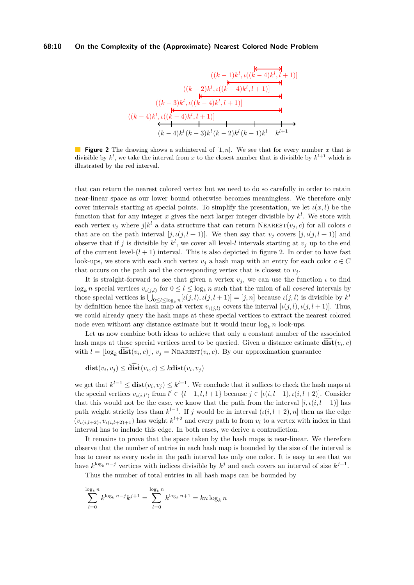#### <span id="page-9-0"></span>**68:10 On the Complexity of the (Approximate) Nearest Colored Node Problem**

$$
((k-1)k^{l}, \iota((k-4)k^{l}, l+1)]
$$
\n
$$
((k-2)k^{l}, \iota((k-4)k^{l}, l+1)]
$$
\n
$$
((k-3)k^{l}, \iota((k-4)k^{l}, l+1)]
$$
\n
$$
((k-4)k^{l}, \iota((k-4)k^{l}, l+1)]
$$
\n
$$
((k-4)k^{l}, \iota((k-4)k^{l}, l+1)]
$$
\n
$$
((k-4)k^{l}, \iota((k-3)k^{l}, k-2)k^{l}(k-1)k^{l}k^{l+1})
$$

**Figure 2** The drawing shows a subinterval of [1, *n*]. We see that for every number *x* that is divisible by  $k^l$ , we take the interval from x to the closest number that is divisible by  $k^{l+1}$  which is illustrated by the red interval.

that can return the nearest colored vertex but we need to do so carefully in order to retain near-linear space as our lower bound otherwise becomes meaningless. We therefore only cover intervals starting at special points. To simplify the presentation, we let  $\iota(x, l)$  be the function that for any integer  $x$  gives the next larger integer divisible by  $k<sup>l</sup>$ . We store with each vertex  $v_j$  where  $j|k^l$  a data structure that can return NEAREST $(v_j, c)$  for all colors *c* that are on the path interval  $[j, \iota(j, l+1)]$ . We then say that  $v_j$  covers  $[j, \iota(j, l+1)]$  and observe that if *j* is divisible by  $k^l$ , we cover all level-*l* intervals starting at  $v_j$  up to the end of the current level- $(l+1)$  interval. This is also depicted in figure [2.](#page-9-0) In order to have fast look-ups, we store with each such vertex  $v_j$  a hash map with an entry for each color  $c \in C$ that occurs on the path and the corresponding vertex that is closest to  $v_j$ .

It is straight-forward to see that given a vertex  $v_j$ , we can use the function  $\iota$  to find  $\log_k n$  special vertices  $v_{\iota(j,l)}$  for  $0 \leq l \leq \log_k n$  such that the union of all *covered* intervals by those special vertices is  $\bigcup_{0 \leq l \leq \log_k n} [\iota(j, l), \iota(j, l + 1)] = [j, n]$  because  $\iota(j, l)$  is divisible by  $k^l$ by definition hence the hash map at vertex  $v_{\iota(j,l)}$  covers the interval  $[\iota(j,l), \iota(j,l+1)]$ . Thus, we could already query the hash maps at these special vertices to extract the nearest colored node even without any distance estimate but it would incur  $log_k n$  look-ups.

Let us now combine both ideas to achieve that only a constant number of the associated hash maps at those special vertices need to be queried. Given a distance estimate  $dist(v_i, c)$ with  $l = \lfloor \log_k \widehat{\textbf{dist}}(v_i, c) \rfloor, v_j = \text{Nearest}(v_i, c)$ . By our approximation guarantee

$$
dist(v_i, v_j) \leq dist(v_i, c) \leq kdist(v_i, v_j)
$$

we get that  $k^{l-1} \leq \text{dist}(v_i, v_j) \leq k^{l+1}$ . We conclude that it suffices to check the hash maps at the special vertices  $v_{\iota(i,l')}$  from  $l' \in \{l-1, l, l+1\}$  because  $j \in [\iota(i, l-1), \iota(i, l+2)]$ . Consider that this would not be the case, we know that the path from the interval  $[i, \iota(i, l-1)]$  has path weight strictly less than  $k^{l-1}$ . If *j* would be in interval  $(\iota(i, l+2), n]$  then as the edge  $(v_{\iota(i,l+2)}, v_{\iota(i,l+2)+1})$  has weight  $k^{l+2}$  and every path to from  $v_i$  to a vertex with index in that interval has to include this edge. In both cases, we derive a contradiction.

It remains to prove that the space taken by the hash maps is near-linear. We therefore observe that the number of entries in each hash map is bounded by the size of the interval is has to cover as every node in the path interval has only one color. It is easy to see that we have  $k^{\log_k n-j}$  vertices with indices divisible by  $k^j$  and each covers an interval of size  $k^{j+1}$ .

Thus the number of total entries in all hash maps can be bounded by

$$
\sum_{l=0}^{\log_k n} k^{\log_k n - j} k^{j+1} = \sum_{l=0}^{\log_k n} k^{\log_k n + 1} = k n \log_k n
$$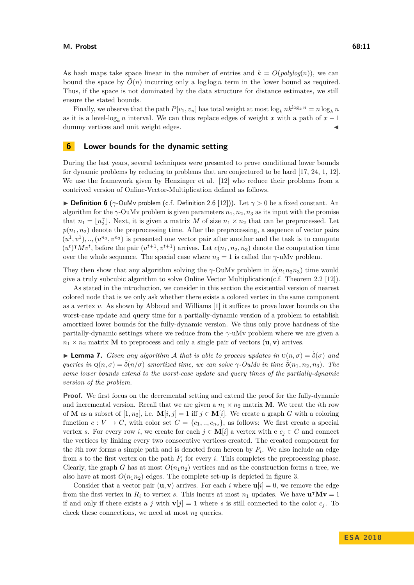As hash maps take space linear in the number of entries and  $k = O(polylog(n))$ , we can bound the space by  $\tilde{O}(n)$  incurring only a log log *n* term in the lower bound as required. Thus, if the space is not dominated by the data structure for distance estimates, we still ensure the stated bounds.

Finally, we observe that the path  $P[v_1, v_n]$  has total weight at most  $\log_k nk^{\log_k n} = n \log_k n$ as it is a level-log<sub>k</sub> *n* interval. We can thus replace edges of weight *x* with a path of  $x - 1$ dummy vertices and unit weight edges.

### **6 Lower bounds for the dynamic setting**

During the last years, several techniques were presented to prove conditional lower bounds for dynamic problems by reducing to problems that are conjectured to be hard [\[17,](#page-13-10) [24,](#page-13-11) [1,](#page-12-13) [12\]](#page-12-4). We use the framework given by Henzinger et al. [\[12\]](#page-12-4) who reduce their problems from a contrived version of Online-Vector-Multiplication defined as follows.

**Definition 6** ( $\gamma$ -OuMv problem (c.f. Definition 2.6 [\[12\]](#page-12-4))). Let  $\gamma > 0$  be a fixed constant. An algorithm for the  $\gamma$ -OuMv problem is given parameters  $n_1, n_2, n_3$  as its input with the promise that  $n_1 = \lfloor n_2^{\gamma} \rfloor$ . Next, it is given a matrix *M* of size  $n_1 \times n_2$  that can be preprocessed. Let  $p(n_1, n_2)$  denote the preprocessing time. After the preprocessing, a sequence of vector pairs  $(u^1, v^1), \ldots, (u^{n_3}, v^{n_3})$  is presented one vector pair after another and the task is to compute  $(u^t)^\intercal M v^t$ , before the pair  $(u^{t+1}, v^{t+1})$  arrives. Let  $c(n_1, n_2, n_3)$  denote the computation time over the whole sequence. The special case where  $n_3 = 1$  is called the *γ*-uMv problem.

They then show that any algorithm solving the *γ*-OuMv problem in  $\tilde{\delta}(n_1 n_2 n_3)$  time would give a truly subcubic algorithm to solve Online Vector Multiplication(c.f. Theorem 2.2 [\[12\]](#page-12-4)).

As stated in the introduction, we consider in this section the existential version of nearest colored node that is we only ask whether there exists a colored vertex in the same component as a vertex *v*. As shown by Abboud and Williams [\[1\]](#page-12-13) it suffices to prove lower bounds on the worst-case update and query time for a partially-dynamic version of a problem to establish amortized lower bounds for the fully-dynamic version. We thus only prove hardness of the partially-dynamic settings where we reduce from the *γ*-uMv problem where we are given a  $n_1 \times n_2$  matrix **M** to preprocess and only a single pair of vectors  $(\mathbf{u}, \mathbf{v})$  arrives.

**I Lemma 7.** *Given any algorithm* A *that is able to process updates in*  $U(n, \sigma) = \tilde{\delta}(\sigma)$  *and*  $q$ *ueries in*  $Q(n, \sigma) = \tilde{\delta}(n/\sigma)$  *amortized time, we can solve*  $\gamma$ *-OuMv in time*  $\tilde{\delta}(n_1, n_2, n_3)$ *. The same lower bounds extend to the worst-case update and query times of the partially-dynamic version of the problem.*

**Proof.** We first focus on the decremental setting and extend the proof for the fully-dynamic and incremental version. Recall that we are given a  $n_1 \times n_2$  matrix **M**. We treat the *i*th row of **M** as a subset of  $[1, n_2]$ , i.e.  $\mathbf{M}[i, j] = 1$  iff  $j \in \mathbf{M}[i]$ . We create a graph *G* with a coloring function  $c: V \to C$ , with color set  $C = \{c_1, ..., c_{n_2}\}$ , as follows: We first create a special vertex *s*. For every row *i*, we create for each  $j \in M[i]$  a vertex with c  $c_j \in C$  and connect the vertices by linking every two consecutive vertices created. The created component for the *i*th row forms a simple path and is denoted from hereon by *P<sup>i</sup>* . We also include an edge from *s* to the first vertex on the path *P<sup>i</sup>* for every *i*. This completes the preprocessing phase. Clearly, the graph *G* has at most  $O(n_1n_2)$  vertices and as the construction forms a tree, we also have at most  $O(n_1n_2)$  edges. The complete set-up is depicted in figure [3.](#page-11-0)

Consider that a vector pair  $(\mathbf{u}, \mathbf{v})$  arrives. For each *i* where  $\mathbf{u}[i] = 0$ , we remove the edge from the first vertex in  $R_i$  to vertex *s*. This incurs at most  $n_1$  updates. We have  $\mathbf{u}^\intercal \mathbf{M} \mathbf{v} = 1$ if and only if there exists a *j* with  $\mathbf{v}[j] = 1$  where *s* is still connected to the color  $c_j$ . To check these connections, we need at most  $n_2$  queries.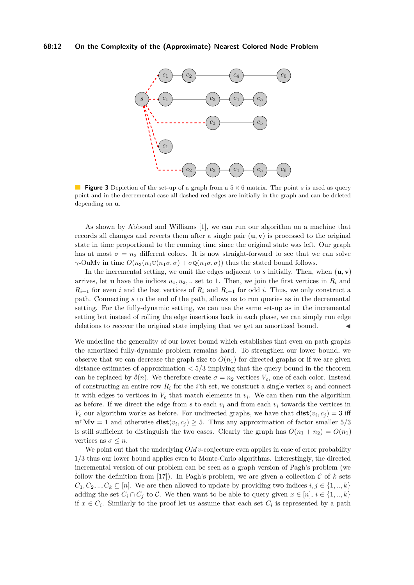<span id="page-11-0"></span>

**Figure 3** Depiction of the set-up of a graph from a  $5 \times 6$  matrix. The point *s* is used as query point and in the decremental case all dashed red edges are initially in the graph and can be deleted depending on **u**.

As shown by Abboud and Williams [\[1\]](#page-12-13), we can run our algorithm on a machine that records all changes and reverts them after a single pair  $(\mathbf{u}, \mathbf{v})$  is processed to the original state in time proportional to the running time since the original state was left. Our graph has at most  $\sigma = n_2$  different colors. It is now straight-forward to see that we can solve *γ*-OuMv in time  $O(n_3(n_1U(n_1σ, σ) + σQ(n_1σ, σ))$  thus the stated bound follows.

In the incremental setting, we omit the edges adjacent to  $s$  initially. Then, when  $(\mathbf{u}, \mathbf{v})$ arrives, let **u** have the indices  $u_1, u_2, \ldots$  set to 1. Then, we join the first vertices in  $R_i$  and  $R_{i+1}$  for even *i* and the last vertices of  $R_i$  and  $R_{i+1}$  for odd *i*. Thus, we only construct a path. Connecting *s* to the end of the path, allows us to run queries as in the decremental setting. For the fully-dynamic setting, we can use the same set-up as in the incremental setting but instead of rolling the edge insertions back in each phase, we can simply run edge deletions to recover the original state implying that we get an amortized bound.

We underline the generality of our lower bound which establishes that even on path graphs the amortized fully-dynamic problem remains hard. To strengthen our lower bound, we observe that we can decrease the graph size to  $O(n_1)$  for directed graphs or if we are given distance estimates of approximation *<* 5*/*3 implying that the query bound in the theorem can be replaced by  $\tilde{\delta}(n)$ . We therefore create  $\sigma = n_2$  vertices  $V_c$ , one of each color. Instead of constructing an entire row  $R_i$  for the *i*'th set, we construct a single vertex  $v_i$  and connect it with edges to vertices in  $V_c$  that match elements in  $v_i$ . We can then run the algorithm as before. If we direct the edge from  $s$  to each  $v_i$  and from each  $v_i$  towards the vertices in  $V_c$  our algorithm works as before. For undirected graphs, we have that  $dist(v_i, c_j) = 3$  iff  $\mathbf{u}^\intercal \mathbf{M} \mathbf{v} = 1$  and otherwise  $\mathbf{dist}(v_i, c_j) \geq 5$ . Thus any approximation of factor smaller 5/3 is still sufficient to distinguish the two cases. Clearly the graph has  $O(n_1 + n_2) = O(n_1)$ vertices as  $\sigma \leq n$ .

We point out that the underlying  $OMv$ -conjecture even applies in case of error probability 1*/*3 thus our lower bound applies even to Monte-Carlo algorithms. Interestingly, the directed incremental version of our problem can be seen as a graph version of Pagh's problem (we follow the definition from [\[17\]](#page-13-10)). In Pagh's problem, we are given a collection  $\mathcal C$  of  $k$  sets  $C_1, C_2, ..., C_k \subseteq [n]$ . We are then allowed to update by providing two indices  $i, j \in \{1, ..., k\}$ adding the set  $C_i \cap C_j$  to  $\mathcal{C}$ . We then want to be able to query given  $x \in [n], i \in \{1, ..., k\}$ if  $x \in C_i$ . Similarly to the proof let us assume that each set  $C_i$  is represented by a path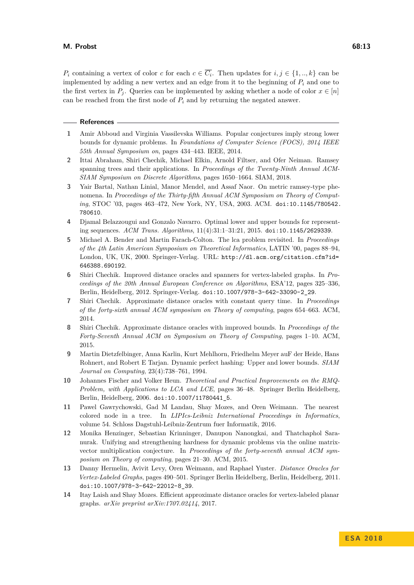*P*<sup>*i*</sup> containing a vertex of color *c* for each  $c \in \overline{C_i}$ . Then updates for  $i, j \in \{1, ..., k\}$  can be implemented by adding a new vertex and an edge from it to the beginning of  $P_i$  and one to the first vertex in  $P_i$ . Queries can be implemented by asking whether a node of color  $x \in [n]$ can be reached from the first node of  $P_i$  and by returning the negated answer.

#### **References**

- <span id="page-12-13"></span>**1** Amir Abboud and Virginia Vassilevska Williams. Popular conjectures imply strong lower bounds for dynamic problems. In *Foundations of Computer Science (FOCS), 2014 IEEE 55th Annual Symposium on*, pages 434–443. IEEE, 2014.
- <span id="page-12-7"></span>**2** Ittai Abraham, Shiri Chechik, Michael Elkin, Arnold Filtser, and Ofer Neiman. Ramsey spanning trees and their applications. In *Proceedings of the Twenty-Ninth Annual ACM-SIAM Symposium on Discrete Algorithms*, pages 1650–1664. SIAM, 2018.
- <span id="page-12-11"></span>**3** Yair Bartal, Nathan Linial, Manor Mendel, and Assaf Naor. On metric ramsey-type phenomena. In *Proceedings of the Thirty-fifth Annual ACM Symposium on Theory of Computing*, STOC '03, pages 463–472, New York, NY, USA, 2003. ACM. [doi:10.1145/780542.](http://dx.doi.org/10.1145/780542.780610) [780610](http://dx.doi.org/10.1145/780542.780610).
- <span id="page-12-12"></span>**4** Djamal Belazzougui and Gonzalo Navarro. Optimal lower and upper bounds for representing sequences. *ACM Trans. Algorithms*, 11(4):31:1–31:21, 2015. [doi:10.1145/2629339](http://dx.doi.org/10.1145/2629339).
- <span id="page-12-8"></span>**5** Michael A. Bender and Martin Farach-Colton. The lca problem revisited. In *Proceedings of the 4th Latin American Symposium on Theoretical Informatics*, LATIN '00, pages 88–94, London, UK, UK, 2000. Springer-Verlag. URL: [http://dl.acm.org/citation.cfm?id=](http://dl.acm.org/citation.cfm?id=646388.690192) [646388.690192](http://dl.acm.org/citation.cfm?id=646388.690192).
- <span id="page-12-0"></span>**6** Shiri Chechik. Improved distance oracles and spanners for vertex-labeled graphs. In *Proceedings of the 20th Annual European Conference on Algorithms*, ESA'12, pages 325–336, Berlin, Heidelberg, 2012. Springer-Verlag. [doi:10.1007/978-3-642-33090-2\\_29](http://dx.doi.org/10.1007/978-3-642-33090-2_29).
- <span id="page-12-1"></span>**7** Shiri Chechik. Approximate distance oracles with constant query time. In *Proceedings of the forty-sixth annual ACM symposium on Theory of computing*, pages 654–663. ACM, 2014.
- <span id="page-12-3"></span>**8** Shiri Chechik. Approximate distance oracles with improved bounds. In *Proceedings of the Forty-Seventh Annual ACM on Symposium on Theory of Computing*, pages 1–10. ACM, 2015.
- <span id="page-12-10"></span>**9** Martin Dietzfelbinger, Anna Karlin, Kurt Mehlhorn, Friedhelm Meyer auF der Heide, Hans Rohnert, and Robert E Tarjan. Dynamic perfect hashing: Upper and lower bounds. *SIAM Journal on Computing*, 23(4):738–761, 1994.
- <span id="page-12-9"></span>**10** Johannes Fischer and Volker Heun. *Theoretical and Practical Improvements on the RMQ-Problem, with Applications to LCA and LCE*, pages 36–48. Springer Berlin Heidelberg, Berlin, Heidelberg, 2006. [doi:10.1007/11780441\\_5](http://dx.doi.org/10.1007/11780441_5).
- <span id="page-12-5"></span>**11** Pawel Gawrychowski, Gad M Landau, Shay Mozes, and Oren Weimann. The nearest colored node in a tree. In *LIPIcs-Leibniz International Proceedings in Informatics*, volume 54. Schloss Dagstuhl-Leibniz-Zentrum fuer Informatik, 2016.
- <span id="page-12-4"></span>**12** Monika Henzinger, Sebastian Krinninger, Danupon Nanongkai, and Thatchaphol Saranurak. Unifying and strengthening hardness for dynamic problems via the online matrixvector multiplication conjecture. In *Proceedings of the forty-seventh annual ACM symposium on Theory of computing*, pages 21–30. ACM, 2015.
- <span id="page-12-2"></span>**13** Danny Hermelin, Avivit Levy, Oren Weimann, and Raphael Yuster. *Distance Oracles for Vertex-Labeled Graphs*, pages 490–501. Springer Berlin Heidelberg, Berlin, Heidelberg, 2011. [doi:10.1007/978-3-642-22012-8\\_39](http://dx.doi.org/10.1007/978-3-642-22012-8_39).
- <span id="page-12-6"></span>**14** Itay Laish and Shay Mozes. Efficient approximate distance oracles for vertex-labeled planar graphs. *arXiv preprint arXiv:1707.02414*, 2017.